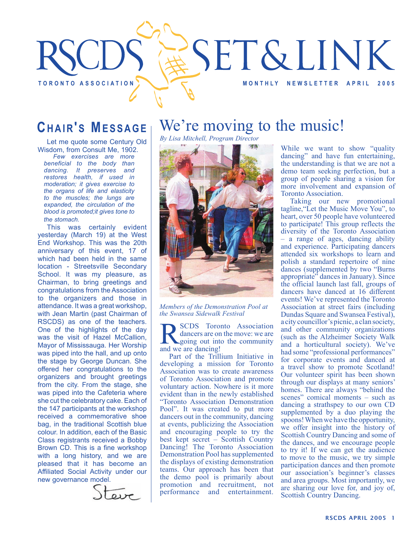

### **CHAIR'S MESSAGE**

Let me quote some Century Old Wisdom, from Consult Me, 1902.

*Few exercises are more beneficial to the body than dancing. It preserves and restores health, if used in moderation; it gives exercise to the organs of life and elasticity to the muscles; the lungs are expanded, the circulation of the blood is promoted;it gives tone to the stomach.*

This was certainly evident yesterday (March 19) at the West End Workshop. This was the 20th anniversary of this event, 17 of which had been held in the same location - Streetsville Secondary School. It was my pleasure, as Chairman, to bring greetings and congratulations from the Association to the organizers and those in attendance. It was a great workshop, with Jean Martin (past Chairman of RSCDS) as one of the teachers. One of the highlights of the day was the visit of Hazel McCallion, Mayor of Mississauga. Her Worship was piped into the hall, and up onto the stage by George Duncan. She offered her congratulations to the organizers and brought greetings from the city. From the stage, she was piped into the Cafeteria where she cut the celebratory cake. Each of the 147 participants at the workshop received a commemorative shoe bag, in the traditional Scottish blue colour. In addition, each of the Basic Class registrants received a Bobby Brown CD. This is a fine workshop with a long history, and we are pleased that it has become an Affiliated Social Activity under our new governance model.



## We're moving to the music!

*By Lisa Mitchell, Program Director*



*Members of the Demonstration Pool at the Swansea Sidewalk Festival*

SCDS Toronto Association dancers are on the move: we are going out into the community and we are dancing!

Part of the Trillium Initiative in developing a mission for Toronto Association was to create awareness of Toronto Association and promote voluntary action. Nowhere is it more evident than in the newly established "Toronto Association Demonstration Pool". It was created to put more dancers out in the community, dancing at events, publicizing the Association and encouraging people to try the best kept secret – Scottish Country Dancing! The Toronto Association Demonstration Pool has supplemented the displays of existing demonstration teams. Our approach has been that the demo pool is primarily about promotion and recruitment, not performance and entertainment.

While we want to show "quality dancing" and have fun entertaining, the understanding is that we are not a demo team seeking perfection, but a group of people sharing a vision for more involvement and expansion of Toronto Association.

Taking our new promotional tagline,"Let the Music Move You", to heart, over 50 people have volunteered to participate! This group reflects the diversity of the Toronto Association – a range of ages, dancing ability and experience. Participating dancers attended six workshops to learn and polish a standard repertoire of nine dances (supplemented by two "Burns appropriate" dances in January). Since the official launch last fall, groups of dancers have danced at 16 different events! We've represented the Toronto Association at street fairs (including Dundas Square and Swansea Festival), a city councillor's picnic, a clan society, and other community organizations (such as the Alzheimer Society Walk and a horticultural society). We've had some "professional performances" for corporate events and danced at a travel show to promote Scotland! Our volunteer spirit has been shown through our displays at many seniors' homes. There are always "behind the scenes" comical moments – such as dancing a strathspey to our own CD supplemented by a duo playing the spoons! When we have the opportunity, we offer insight into the history of Scottish Country Dancing and some of the dances, and we encourage people to try it! If we can get the audience to move to the music, we try simple participation dances and then promote our association's beginner's classes and area groups. Most importantly, we are sharing our love for, and joy of, Scottish Country Dancing.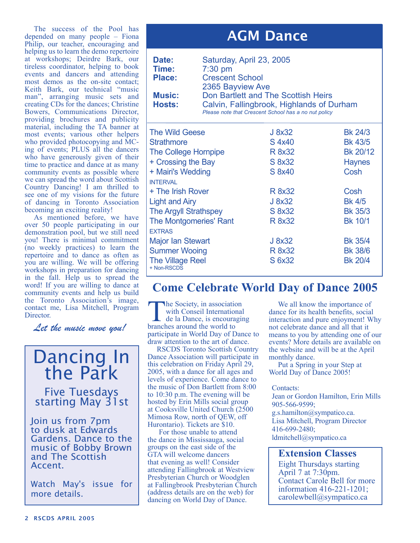The success of the Pool has depended on many people – Fiona Philip, our teacher, encouraging and helping us to learn the demo repertoire at workshops; Deirdre Bark, our tireless coordinator, helping to book events and dancers and attending most demos as the on-site contact; Keith Bark, our technical "music man", arranging music sets and creating CDs for the dances; Christine Bowers, Communications Director, providing brochures and publicity material, including the TA banner at most events; various other helpers who provided photocopying and MCing of events; PLUS all the dancers who have generously given of their time to practice and dance at as many community events as possible where we can spread the word about Scottish Country Dancing! I am thrilled to see one of my visions for the future of dancing in Toronto Association becoming an exciting reality!

As mentioned before, we have over 50 people participating in our demonstration pool, but we still need you! There is minimal commitment (no weekly practices) to learn the repertoire and to dance as often as you are willing. We will be offering workshops in preparation for dancing in the fall. Help us to spread the word! If you are willing to dance at community events and help us build the Toronto Association's image, contact me, Lisa Mitchell, Program Director.

*Let the music move you!*

## Dancing In the Park

# Five Tuesdays starting May 31st

Join us from 7pm to dusk at Edwards Gardens. Dance to the music of Bobby Brown and The Scottish Accent.

Watch May's issue for more details.

### AGM Dance

| Date:<br>Time:<br><b>Place:</b><br><b>Music:</b><br><b>Hosts:</b> | Saturday, April 23, 2005<br>$7:30$ pm<br><b>Crescent School</b><br>2365 Bayview Ave | Don Bartlett and The Scottish Heirs<br>Calvin, Fallingbrook, Highlands of Durham<br>Please note that Crescent School has a no nut policy |                |
|-------------------------------------------------------------------|-------------------------------------------------------------------------------------|------------------------------------------------------------------------------------------------------------------------------------------|----------------|
| <b>The Wild Geese</b>                                             |                                                                                     | J 8x32                                                                                                                                   | Bk 24/3        |
| <b>Strathmore</b>                                                 |                                                                                     | S 4x40                                                                                                                                   | <b>Bk 43/5</b> |
| <b>The College Hornpipe</b>                                       |                                                                                     | R 8x32                                                                                                                                   | Bk 20/12       |
| + Crossing the Bay                                                |                                                                                     | S 8x32                                                                                                                                   | <b>Haynes</b>  |
| + Mairi's Wedding                                                 |                                                                                     | S 8x40                                                                                                                                   | Cosh           |
| <b>INTFRVAL</b>                                                   |                                                                                     |                                                                                                                                          |                |
| + The Irish Rover                                                 |                                                                                     | R 8x32                                                                                                                                   | Cosh           |
| <b>Light and Airy</b>                                             |                                                                                     | J 8x32                                                                                                                                   | <b>Bk 4/5</b>  |
| <b>The Argyll Strathspey</b>                                      |                                                                                     | S 8x32                                                                                                                                   | <b>Bk 35/3</b> |
| <b>The Montgomeries' Rant</b>                                     |                                                                                     | R 8x32                                                                                                                                   | <b>Bk 10/1</b> |
| <b>EXTRAS</b>                                                     |                                                                                     |                                                                                                                                          |                |
| <b>Major Ian Stewart</b>                                          |                                                                                     | J 8x32                                                                                                                                   | <b>Bk 35/4</b> |
| <b>Summer Wooing</b>                                              |                                                                                     | R 8x32                                                                                                                                   | <b>Bk 38/6</b> |
| <b>The Village Reel</b>                                           |                                                                                     | S 6x32                                                                                                                                   | <b>Bk 20/4</b> |

#### **Come Celebrate World Day of Dance 2005**

The Society, in association<br>
with Conseil International<br>
de la Dance, is encouraging<br>
branches around the world to with Conseil International branches around the world to participate in World Day of Dance to draw attention to the art of dance.

+ Non-RSCDS

RSCDS Toronto Scottish Country Dance Association will participate in this celebration on Friday April 29, 2005, with a dance for all ages and levels of experience. Come dance to the music of Don Bartlett from 8:00 to 10:30 p.m. The evening will be hosted by Erin Mills social group at Cooksville United Church (2500 Mimosa Row, north of QEW, off Hurontario). Tickets are \$10.

 For those unable to attend the dance in Mississauga, social groups on the east side of the GTA will welcome dancers that evening as well! Consider attending Fallingbrook at Westview Presbyterian Church or Woodglen at Fallingbrook Presbyterian Church (address details are on the web) for dancing on World Day of Dance.

We all know the importance of dance for its health benefits, social interaction and pure enjoyment! Why not celebrate dance and all that it means to you by attending one of our events? More details are available on the website and will be at the April monthly dance.

Put a Spring in your Step at World Day of Dance 2005!

#### Contacts:

Jean or Gordon Hamilton, Erin Mills 905-566-9599; g.s.hamilton@sympatico.ca.

Lisa Mitchell, Program Director 416-699-2480; ldmitchell@sympatico.ca

### **Extension Classes**

Eight Thursdays starting April 7 at 7:30pm. Contact Carole Bell for more information 416-221-1201; carolewbell@sympatico.ca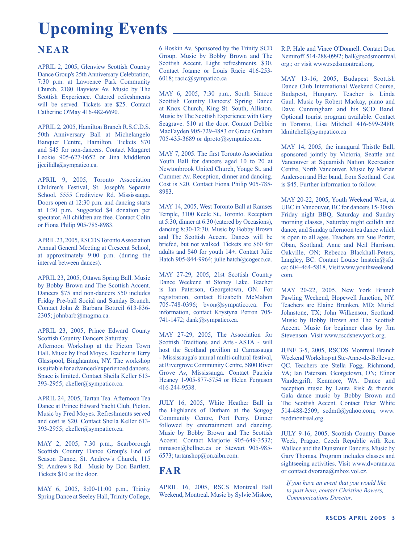## **Upcoming Events**

#### **NEAR**

APRIL 2, 2005, Glenview Scottish Country Dance Group's 25th Anniversary Celebration, 7:30 p.m. at Lawrence Park Community Church, 2180 Bayview Av. Music by The Scottish Experience. Catered refreshments will be served. Tickets are \$25. Contact Catherine O'May 416-482-6690.

APRIL 2, 2005, Hamilton Branch R.S.C.D.S. 50th Anniversary Ball at Michelangelo Banquet Centre, Hamilton. Tickets \$70 and \$45 for non-dancers. Contact Margaret Leckie 905-627-0652 or Jina Middleton jjceilidh@sympatico.ca.

APRIL 9, 2005, Toronto Association Children's Festival, St. Joseph's Separate School, 5555 Creditview Rd. Mississauga. Doors open at 12:30 p.m. and dancing starts at 1:30 p.m. Suggested \$4 donation per spectator. All children are free. Contact Colin or Fiona Philip 905-785-8983.

APRIL 23, 2005, RSCDS Toronto Association Annual General Meeting at Crescent School, at approximately 9:00 p.m. (during the interval between dances).

APRIL 23, 2005, Ottawa Spring Ball. Music by Bobby Brown and The Scottish Accent. Dancers \$75 and non-dancers \$50 includes Friday Pre-ball Social and Sunday Brunch. Contact John & Barbara Bottreil 613-836- 2305; johnbarb@magma.ca.

APRIL 23, 2005, Prince Edward County Scottish Country Dancers Saturday Afternoon Workshop at the Picton Town Hall. Music by Fred Moyes. Teacher is Terry Glasspool, Binghamton, NY. The workshop is suitable for advanced/experienced dancers. Space is limited. Contact Sheila Keller 613- 393-2955; ckeller@sympatico.ca.

APRIL 24, 2005, Tartan Tea. Afternoon Tea Dance at Prince Edward Yacht Club, Picton. Music by Fred Moyes. Refreshments served and cost is \$20. Contact Sheila Keller 613- 393-2955; ckeller@sympatico.ca.

MAY 2, 2005, 7:30 p.m., Scarborough Scottish Country Dance Group's End of Season Dance, St. Andrew's Church, 115 St. Andrew's Rd. Music by Don Bartlett. Tickets \$10 at the door.

MAY 6, 2005, 8:00-11:00 p.m., Trinity Spring Dance at Seeley Hall, Trinity College, 6 Hoskin Av. Sponsored by the Trinity SCD Group. Music by Bobby Brown and The Scottish Accent. Light refreshments. \$30. Contact Joanne or Louis Racic 416-253- 6018; racic@sympatico.ca

MAY 6, 2005, 7:30 p.m., South Simcoe Scottish Country Dancers' Spring Dance at Knox Church, King St. South, Alliston. Music by The Scottish Experience with Gary Seagrave. \$10 at the door. Contact Debbie MacFayden 905-729-4883 or Grace Graham 705-435-3689 or dproto@sympatico.ca.

MAY 7, 2005. The first Toronto Association Youth Ball for dancers aged 10 to 20 at Newtonbrook United Church, Yonge St. and Cummer Av. Reception, dinner and dancing. Cost is \$20. Contact Fiona Philip 905-785- 8983.

MAY 14, 2005, West Toronto Ball at Ramses Temple, 3100 Keele St., Toronto. Reception at 5:30, dinner at 6:30 (catered by Occasions), dancing 8:30-12:30. Music by Bobby Brown and The Scottish Accent. Dances will be briefed, but not walked. Tickets are \$60 for adults and \$40 for youth 14+. Contact Julie Hatch 905-844-9964; julie.hatch@cogeco.ca.

MAY 27-29, 2005, 21st Scottish Country Dance Weekend at Stoney Lake. Teacher is Ian Paterson, Georgetown, ON. For registration, contact Elizabeth McMahon 705-748-0396; bvon@sympatico.ca. For information, contact Krystyna Perron 705- 741-1472; dank@sympatico.ca.

MAY 27-29, 2005, The Association for Scottish Traditions and Arts - ASTA - will host the Scotland pavilion at Carrassauga - Mississauga's annual multi-cultural festival, at Rivergrove Community Centre, 5800 River Grove Av, Mississauga. Contact Patricia Heaney 1-905-877-5754 or Helen Ferguson 416-244-9538.

JULY 16, 2005, White Heather Ball in the Highlands of Durham at the Scugog Community Centre, Port Perry. Dinner followed by entertainment and dancing. Music by Bobby Brown and The Scottish Accent. Contact Marjorie 905-649-3532; mmason@bellnet.ca or Stewart 905-985- 6573; tartanshop@on.aibn.com.

#### **FAR**

APRIL 16, 2005, RSCS Montreal Ball Weekend, Montreal. Music by Sylvie Miskoe, R.P. Hale and Vince O'Donnell. Contact Don Nemiroff 514-288-0992; ball@rscdsmontreal. org.; or visit www.rscdsmontreal.org.

MAY 13-16, 2005, Budapest Scottish Dance Club International Weekend Course, Budapest, Hungary. Teacher is Linda Gaul. Music by Robert Mackay, piano and Dave Cunningham and his SCD Band. Optional tourist program available. Contact in Toronto, Lisa Mitchell 416-699-2480; ldmitchell@sympatico.ca

MAY 14, 2005, the inaugural Thistle Ball, sponsored jointly by Victoria, Seattle and Vancouver at Squamish Nation Recreation Centre, North Vancouver. Music by Marian Anderson and Her band, from Scotland. Cost is \$45. Further information to follow.

MAY 20-22, 2005, Youth Weekend West, at UBC in Vancouver, BC for dancers 15-30ish. Friday night BBQ, Saturday and Sunday morning classes, Saturday night ceilidh and dance, and Sunday afternoon tea dance which is open to all ages. Teachers are Sue Porter, Oban, Scotland; Anne and Neil Harrison, Oakville, ON; Rebecca Blackhall-Peters, Langley, BC. Contact Louise Imstein@sfu. ca; 604-464-5818. Visit www.youthweekend. com.

MAY 20-22, 2005, New York Branch Pawling Weekend, Hopewell Junction, NY. Teachers are Elaine Brunken, MD; Muriel Johnstone, TX; John Wilkenson, Scotland. Music by Bobby Brown and The Scottish Accent. Music for beginner class by Jim Stevenson. Visit www.rscdsnewyork.org.

JUNE 3-5, 2005, RSCDS Montreal Branch Weekend Workshop at Ste-Anne-de-Bellevue, QC. Teachers are Stella Fogg, Richmond, VA; Ian Paterson, Georgetown, ON; Elinor Vandergrift, Kenmore, WA. Dance and reception music by Laura Risk & friends. Gala dance music by Bobby Brown and The Scottish Accent. Contact Peter White 514-488-2509; scdmtl@yahoo.com; www. rscdmontreal.org.

JULY 9-16, 2005, Scottish Country Dance Week, Prague, Czech Republic with Ron Wallace and the Dunsmuir Dancers. Music by Gary Thomas. Program includes classes and sightseeing activities. Visit www.dvorana.cz or contact dvorana@mbox.vol.cz.

*If you have an event that you would like to post here, contact Christine Bowers, Communications Director.*